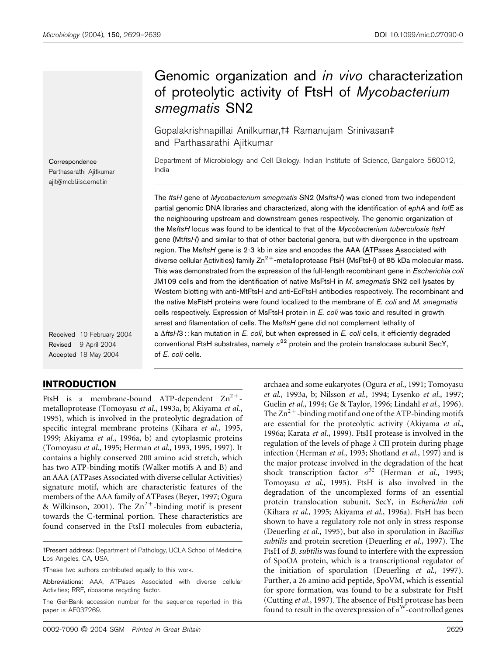# Genomic organization and in vivo characterization of proteolytic activity of FtsH of Mycobacterium smegmatis SN2

Gopalakrishnapillai Anilkumar,<sup>††</sup> Ramanujam Srinivasan<sup>†</sup> and Parthasarathi Ajitkumar

Department of Microbiology and Cell Biology, Indian Institute of Science, Bangalore 560012, India

The ftsH gene of Mycobacterium smegmatis SN2 (MsftsH) was cloned from two independent partial genomic DNA libraries and characterized, along with the identification of ephA and folE as the neighbouring upstream and downstream genes respectively. The genomic organization of the MsftsH locus was found to be identical to that of the Mycobacterium tuberculosis ftsH gene (MtftsH) and similar to that of other bacterial genera, but with divergence in the upstream region. The MsftsH gene is 2.3 kb in size and encodes the AAA (ATPases Associated with diverse cellular Activities) family  $Zn^{2+}$ -metalloprotease FtsH (MsFtsH) of 85 kDa molecular mass. This was demonstrated from the expression of the full-length recombinant gene in Escherichia coli JM109 cells and from the identification of native MsFtsH in M. smegmatis SN2 cell lysates by Western blotting with anti-MtFtsH and anti-EcFtsH antibodies respectively. The recombinant and the native MsFtsH proteins were found localized to the membrane of E. coli and M. smegmatis cells respectively. Expression of MsFtsH protein in E. coli was toxic and resulted in growth arrest and filamentation of cells. The MsftsH gene did not complement lethality of a  $\Delta$ ftsH3 : : kan mutation in E. coli, but when expressed in E. coli cells, it efficiently degraded conventional FtsH substrates, namely  $\sigma^{32}$  protein and the protein translocase subunit SecY, of E. coli cells.

Correspondence Parthasarathi Ajitkumar ajit@mcbl.iisc.ernet.in

Received 10 February 2004 Revised 9 April 2004 Accepted 18 May 2004

# INTRODUCTION

FtsH is a membrane-bound ATP-dependent  $\text{Zn}^{2+}$ metalloprotease (Tomoyasu et al., 1993a, b; Akiyama et al., 1995), which is involved in the proteolytic degradation of specific integral membrane proteins (Kihara et al., 1995, 1999; Akiyama et al., 1996a, b) and cytoplasmic proteins (Tomoyasu et al., 1995; Herman et al., 1993, 1995, 1997). It contains a highly conserved 200 amino acid stretch, which has two ATP-binding motifs (Walker motifs A and B) and an AAA (ATPases Associated with diverse cellular Activities) signature motif, which are characteristic features of the members of the AAA family of ATPases (Beyer, 1997; Ogura & Wilkinson, 2001). The  $Zn^{2+}$ -binding motif is present towards the C-terminal portion. These characteristics are found conserved in the FtsH molecules from eubacteria, et al., 1993a, b; Nilsson et al., 1994; Lysenko et al., 1997; Guelin et al., 1994; Ge & Taylor, 1996; Lindahl et al., 1996). The  $\text{Zn}^{2+}$ -binding motif and one of the ATP-binding motifs are essential for the proteolytic activity (Akiyama et al., 1996a; Karata et al., 1999). FtsH protease is involved in the regulation of the levels of phage  $\lambda$  CII protein during phage infection (Herman et al., 1993; Shotland et al., 1997) and is the major protease involved in the degradation of the heat shock transcription factor  $\sigma^{32}$  (Herman et al., 1995; Tomoyasu et al., 1995). FtsH is also involved in the degradation of the uncomplexed forms of an essential protein translocation subunit, SecY, in Escherichia coli (Kihara et al., 1995; Akiyama et al., 1996a). FtsH has been shown to have a regulatory role not only in stress response (Deuerling et al., 1995), but also in sporulation in Bacillus subtilis and protein secretion (Deuerling et al., 1997). The FtsH of B. subtilis was found to interfere with the expression of SpoOA protein, which is a transcriptional regulator of the initiation of sporulation (Deuerling et al., 1997). Further, a 26 amino acid peptide, SpoVM, which is essential for spore formation, was found to be a substrate for FtsH (Cutting et al., 1997). The absence of FtsH protease has been found to result in the overexpression of  $\sigma^W$ -controlled genes

archaea and some eukaryotes (Ogura et al., 1991; Tomoyasu

tPresent address: Department of Pathology, UCLA School of Medicine, Los Angeles, CA, USA.

<sup>4</sup>These two authors contributed equally to this work.

Abbreviations: AAA, ATPases Associated with diverse cellular Activities; RRF, ribosome recycling factor.

The GenBank accession number for the sequence reported in this paper is AF037269.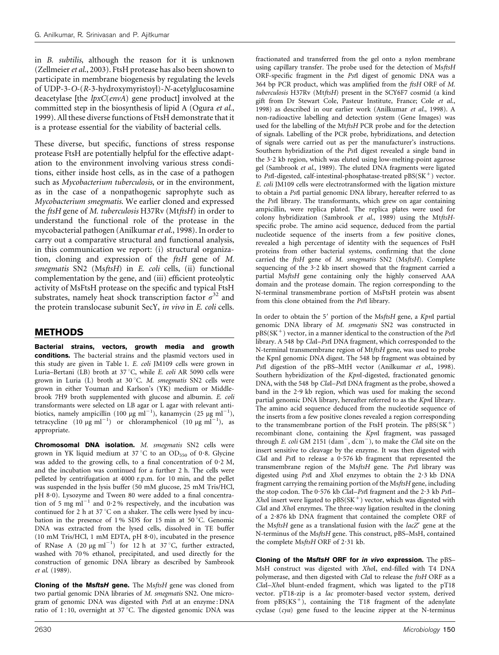in B. subtilis, although the reason for it is unknown (Zellmeier *et al.*, 2003). FtsH protease has also been shown to participate in membrane biogenesis by regulating the levels of UDP-3-O-(R-3-hydroxymyristoyl)-N-acetylglucosamine deacetylase [the *lpxC(envA)* gene product] involved at the committed step in the biosynthesis of lipid A (Ogura et al., 1999). All these diverse functions of FtsH demonstrate that it is a protease essential for the viability of bacterial cells.

These diverse, but specific, functions of stress response protease FtsH are potentially helpful for the effective adaptation to the environment involving various stress conditions, either inside host cells, as in the case of a pathogen such as *Mycobacterium tuberculosis*, or in the environment, as in the case of a nonpathogenic saprophyte such as Mycobacterium smegmatis. We earlier cloned and expressed the ftsH gene of M. tuberculosis H37Rv (MtftsH) in order to understand the functional role of the protease in the mycobacterial pathogen (Anilkumar et al., 1998). In order to carry out a comparative structural and functional analysis, in this communication we report: (i) structural organization, cloning and expression of the ftsH gene of M. smegmatis SN2 (MsftsH) in E. coli cells, (ii) functional complementation by the gene, and (iii) efficient proteolytic activity of MsFtsH protease on the specific and typical FtsH substrates, namely heat shock transcription factor  $\sigma^{32}$  and the protein translocase subunit SecY, in vivo in E. coli cells.

# METHODS

Bacterial strains, vectors, growth media and growth conditions. The bacterial strains and the plasmid vectors used in this study are given in Table 1. E. coli JM109 cells were grown in Luria–Bertani (LB) broth at 37 °C, while E. coli AR 5090 cells were grown in Luria (L) broth at 30 °C. M. smegmatis SN2 cells were grown in either Youman and Karlson's (YK) medium or Middlebrook 7H9 broth supplemented with glucose and albumin. E. coli transformants were selected on LB agar or L agar with relevant antibiotics, namely ampicillin (100  $\mu$ g ml<sup>-1</sup>), kanamycin (25  $\mu$ g ml<sup>-1</sup>), tetracycline  $(10 \mu g \text{ ml}^{-1})$  or chloramphenicol  $(10 \mu g \text{ ml}^{-1})$ , as appropriate.

Chromosomal DNA isolation. M. smegmatis SN2 cells were grown in YK liquid medium at 37 °C to an OD<sub>550</sub> of 0.8. Glycine was added to the growing cells, to a final concentration of  $0.2$  M, and the incubation was continued for a further 2 h. The cells were pelleted by centrifugation at 4000 r.p.m. for 10 min, and the pellet was suspended in the lysis buffer (50 mM glucose, 25 mM Tris/HCl, pH 8.0). Lysozyme and Tween 80 were added to a final concentration of 5 mg  $ml^{-1}$  and 0.2% respectively, and the incubation was continued for 2 h at 37  $\mathrm{^{\circ}C}$  on a shaker. The cells were lysed by incubation in the presence of 1% SDS for 15 min at 50 $^{\circ}$ C. Genomic DNA was extracted from the lysed cells, dissolved in TE buffer (10 mM Tris/HCl, 1 mM EDTA, pH 8.0), incubated in the presence of RNase A (20  $\mu$ g ml<sup>-1</sup>) for 12 h at 37°C, further extracted, washed with 70 % ethanol, precipitated, and used directly for the construction of genomic DNA library as described by Sambrook et al. (1989).

Cloning of the MsftsH gene. The MsftsH gene was cloned from two partial genomic DNA libraries of M. smegmatis SN2. One microgram of genomic DNA was digested with PstI at an enzyme : DNA ratio of  $1:10$ , overnight at  $37^{\circ}$ C. The digested genomic DNA was fractionated and transferred from the gel onto a nylon membrane using capillary transfer. The probe used for the detection of MsftsH ORF-specific fragment in the PstI digest of genomic DNA was a 364 bp PCR product, which was amplified from the ftsH ORF of M. tuberculosis H37Rv (MtftsH) present in the SCY6F7 cosmid (a kind gift from Dr Stewart Cole, Pasteur Institute, France; Cole et al., 1998) as described in our earlier work (Anilkumar et al., 1998). A non-radioactive labelling and detection system (Gene Images) was used for the labelling of the MtftsH PCR probe and for the detection of signals. Labelling of the PCR probe, hybridizations, and detection of signals were carried out as per the manufacturer's instructions. Southern hybridization of the PstI digest revealed a single band in the  $3.2$  kb region, which was eluted using low-melting-point agarose gel (Sambrook et al., 1989). The eluted DNA fragments were ligated to PstI-digested, calf-intestinal-phosphatase-treated  $pBS(SK^+)$  vector. E. coli JM109 cells were electrotransformed with the ligation mixture to obtain a PstI partial genomic DNA library, hereafter referred to as the PstI library. The transformants, which grew on agar containing ampicillin, were replica plated. The replica plates were used for colony hybridization (Sambrook et al., 1989) using the MtftsHspecific probe. The amino acid sequence, deduced from the partial nucleotide sequence of the inserts from a few positive clones, revealed a high percentage of identity with the sequences of FtsH proteins from other bacterial systems, confirming that the clone carried the ftsH gene of M. smegmatis SN2 (MsftsH). Complete sequencing of the 3.2 kb insert showed that the fragment carried a partial MsftsH gene containing only the highly conserved AAA domain and the protease domain. The region corresponding to the N-terminal transmembrane portion of MsFtsH protein was absent from this clone obtained from the PstI library.

In order to obtain the  $5'$  portion of the MsftsH gene, a KpnI partial genomic DNA library of M. smegmatis SN2 was constructed in  $pBS(SK<sup>+</sup>)$  vector, in a manner identical to the construction of the PstI library. A 548 bp ClaI–PstI DNA fragment, which corresponded to the N-terminal transmembrane region of MtftsH gene, was used to probe the KpnI genomic DNA digest. The 548 bp fragment was obtained by PstI digestion of the pBS-MtH vector (Anilkumar et al., 1998). Southern hybridization of the KpnI-digested, fractionated genomic DNA, with the 548 bp ClaI–PstI DNA fragment as the probe, showed a band in the 2.9 kb region, which was used for making the second partial genomic DNA library, hereafter referred to as the KpnI library. The amino acid sequence deduced from the nucleotide sequence of the inserts from a few positive clones revealed a region corresponding to the transmembrane portion of the FtsH protein. The  $pBS(SK^+)$ recombinant clone, containing the KpnI fragment, was passaged through E. coli GM 2151  $(dam^-, dcm^-)$ , to make the ClaI site on the insert sensitive to cleavage by the enzyme. It was then digested with ClaI and PstI to release a 0.576 kb fragment that represented the transmembrane region of the MsftsH gene. The PstI library was digested using PstI and XhoI enzymes to obtain the 2?3 kb DNA fragment carrying the remaining portion of the MsftsH gene, including the stop codon. The 0.576 kb ClaI-PstI fragment and the 2.3 kb PstI-XhoI insert were ligated to  $pBS(SK^+)$  vector, which was digested with ClaI and XhoI enzymes. The three-way ligation resulted in the cloning of a 2?876 kb DNA fragment that contained the complete ORF of the MsftsH gene as a translational fusion with the  $lacZ'$  gene at the N-terminus of the MsftsH gene. This construct, pBS–MsH, contained the complete MsftsH ORF of 2.31 kb.

Cloning of the MsftsH ORF for in vivo expression. The pBS-MsH construct was digested with XhoI, end-filled with T4 DNA polymerase, and then digested with ClaI to release the ftsH ORF as a ClaI–XhoI blunt-ended fragment, which was ligated to the pT18 vector. pT18-zip is a lac promoter-based vector system, derived from  $pBS(KS^{+})$ , containing the T18 fragment of the adenylate cyclase  $(cya)$  gene fused to the leucine zipper at the N-terminus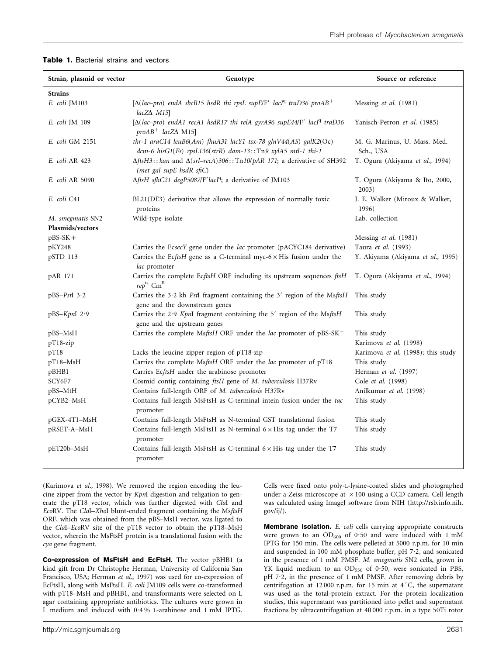| Strain, plasmid or vector            | Genotype                                                                                                                       | Source or reference                       |
|--------------------------------------|--------------------------------------------------------------------------------------------------------------------------------|-------------------------------------------|
| <b>Strains</b>                       |                                                                                                                                |                                           |
| E. coli JM103                        | [ $\Delta (lac-pro)$ endA sbcB15 hsdR thi rpsL supE/F' lacI <sup>q</sup> traD36 proAB <sup>+</sup><br>$lacZ\Delta$ M15         | Messing et al. (1981)                     |
| E. coli JM 109                       | $[\Delta (lac-pro)$ endA1 recA1 hsdR17 thi relA gyrA96 supE44/F' lacI <sup>q</sup> traD36<br>$probAB^+$ lacZ $\Delta$ M15]     | Yanisch-Perron et al. (1985)              |
| E. coli GM 2151                      | thr-1 araC14 leuB6(Am) fhuA31 lacY1 tsx-78 glnV44(AS) galK2(Oc)<br>dcm-6 hisG1(Fs) rpsL136(strR) dam-13::Tn9 xylA5 mtl-1 thi-1 | M. G. Marinus, U. Mass. Med.<br>Sch., USA |
| E. coli AR 423                       | $\Delta$ ftsH3:: kan and $\Delta$ (srl-recA)306:: Tn10/pAR 171; a derivative of SH392<br>(met gal supE hsdR sfiC)              | T. Ogura (Akiyama et al., 1994)           |
| E. coli AR 5090                      | $\Delta$ ftsH sfhC21 degP5087/F'lacI <sup>q</sup> ; a derivative of JM103                                                      | T. Ogura (Akiyama & Ito, 2000,<br>2003)   |
| E. coli C41                          | BL21(DE3) derivative that allows the expression of normally toxic<br>proteins                                                  | J. E. Walker (Miroux & Walker,<br>1996)   |
| M. smegmatis SN2<br>Plasmids/vectors | Wild-type isolate                                                                                                              | Lab. collection                           |
| $pBS-SK +$                           |                                                                                                                                | Messing et al. (1981)                     |
| pKY248                               | Carries the EcsecY gene under the lac promoter (pACYC184 derivative)                                                           | Taura et al. (1993)                       |
| pSTD 113                             | Carries the EcftsH gene as a C-terminal myc- $6 \times$ His fusion under the<br>lac promoter                                   | Y. Akiyama (Akiyama et al., 1995)         |
| pAR 171                              | Carries the complete EcftsH ORF including its upstream sequences ftsH<br>$rep$ <sup>ts</sup> $CmR$                             | T. Ogura (Akiyama et al., 1994)           |
| $pBS-PstI$ 3.2                       | Carries the 3.2 kb PstI fragment containing the $3'$ region of the MsftsH<br>gene and the downstream genes                     | This study                                |
| $pBS-Kpnl$ 2.9                       | Carries the 2.9 KpnI fragment containing the 5' region of the MsftsH<br>gene and the upstream genes                            | This study                                |
| pBS-MsH                              | Carries the complete MsftsH ORF under the lac promoter of pBS-SK <sup>+</sup>                                                  | This study                                |
| pT18-zip                             |                                                                                                                                | Karimova et al. (1998)                    |
| pT18                                 | Lacks the leucine zipper region of pT18-zip                                                                                    | Karimova et al. (1998); this study        |
| pT18-MsH                             | Carries the complete MsftsH ORF under the lac promoter of pT18                                                                 | This study                                |
| pBHB1                                | Carries EcftsH under the arabinose promoter                                                                                    | Herman et al. (1997)                      |
| SCY6F7                               | Cosmid contig containing ftsH gene of M. tuberculosis H37Rv                                                                    | Cole et al. (1998)                        |
| pBS-MtH                              | Contains full-length ORF of M. tuberculosis H37Rv                                                                              | Anilkumar et al. (1998)                   |
| pCYB2-MsH                            | Contains full-length MsFtsH as C-terminal intein fusion under the tac<br>promoter                                              | This study                                |
| pGEX-4T1-MsH                         | Contains full-length MsFtsH as N-terminal GST translational fusion                                                             | This study                                |
| pRSET-A-MsH                          | Contains full-length MsFtsH as N-terminal $6 \times$ His tag under the T7<br>promoter                                          | This study                                |
| pET20b-MsH                           | Contains full-length MsFtsH as C-terminal $6 \times$ His tag under the T7<br>promoter                                          | This study                                |

(Karimova et al., 1998). We removed the region encoding the leucine zipper from the vector by KpnI digestion and religation to generate the pT18 vector, which was further digested with ClaI and EcoRV. The ClaI-XhoI blunt-ended fragment containing the MsftsH ORF, which was obtained from the pBS–MsH vector, was ligated to the ClaI–EcoRV site of the pT18 vector to obtain the pT18–MsH vector, wherein the MsFtsH protein is a translational fusion with the cya gene fragment.

Co-expression of MsFtsH and EcFtsH. The vector pBHB1 (a kind gift from Dr Christophe Herman, University of California San Francisco, USA; Herman et al., 1997) was used for co-expression of EcFtsH, along with MsFtsH. E. coli JM109 cells were co-transformed with pT18–MsH and pBHB1, and transformants were selected on L agar containing appropriate antibiotics. The cultures were grown in L medium and induced with 0?4 % L-arabinose and 1 mM IPTG.

under a Zeiss microscope at  $\times 100$  using a CCD camera. Cell length was calculated using ImageJ software from NIH (http://rsb.info.nih. gov/ij/).

Cells were fixed onto poly-L-lysine-coated slides and photographed

Membrane isolation. E. coli cells carrying appropriate constructs were grown to an  $OD_{600}$  of 0.50 and were induced with 1 mM IPTG for 150 min. The cells were pelleted at 5000 r.p.m. for 10 min and suspended in 100 mM phosphate buffer, pH 7?2, and sonicated in the presence of 1 mM PMSF. M. smegmatis SN2 cells, grown in YK liquid medium to an  $OD_{550}$  of 0.50, were sonicated in PBS, pH 7.2, in the presence of 1 mM PMSF. After removing debris by centrifugation at 12000 r.p.m. for 15 min at  $4^{\circ}$ C, the supernatant was used as the total-protein extract. For the protein localization studies, this supernatant was partitioned into pellet and supernatant fractions by ultracentrifugation at 40 000 r.p.m. in a type 50Ti rotor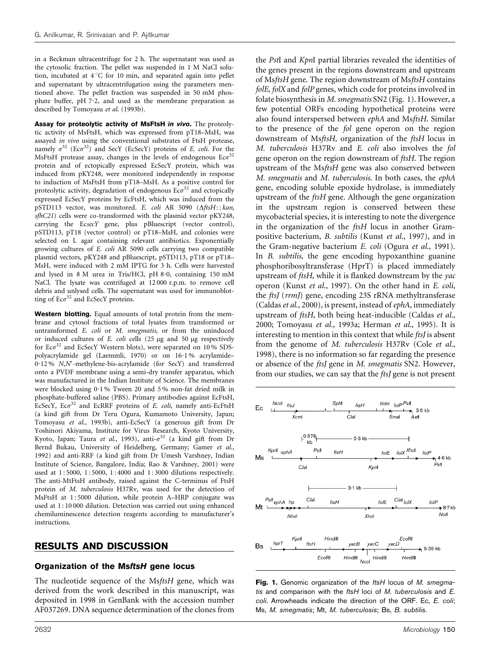in a Beckman ultracentrifuge for 2 h. The supernatant was used as the cytosolic fraction. The pellet was suspended in 1 M NaCl solution, incubated at  $4^{\circ}$ C for 10 min, and separated again into pellet and supernatant by ultracentrifugation using the parameters mentioned above. The pellet fraction was suspended in 50 mM phosphate buffer,  $pH 7.2$ , and used as the membrane preparation as described by Tomoyasu et al. (1993b).

Assay for proteolytic activity of MsFtsH in vivo. The proteolytic activity of MsFtsH, which was expressed from pT18–MsH, was assayed in vivo using the conventional substrates of FtsH protease, namely  $\sigma^{32}$  (Ec $\sigma^{32}$ ) and SecY (EcSecY) proteins of *E. coli.* For the MsFtsH protease assay, changes in the levels of endogenous  $E \circ \sigma^{32}$ protein and of ectopically expressed EcSecY protein, which was induced from pKY248, were monitored independently in response to induction of MsFtsH from pT18–MsH. As a positive control for proteolytic activity, degradation of endogenous  $Ec\sigma^{32}$  and ectopically expressed EcSecY proteins by EcFtsH, which was induced from the pSTD113 vector, was monitored. E. coli AR 5090 ( $\Delta$ ftsH:: kan, sfhC21) cells were co-transformed with the plasmid vector pKY248, carrying the EcsecY gene, plus pBluescript (vector control), pSTD113, pT18 (vector control) or pT18–MsH, and colonies were selected on L agar containing relevant antibiotics. Exponentially growing cultures of E. coli AR 5090 cells carrying two compatible plasmid vectors, pKY248 and pBluescript, pSTD113, pT18 or pT18– MsH, were induced with 2 mM IPTG for 3 h. Cells were harvested and lysed in 8 M urea in Tris/HCl, pH 8.0, containing 150 mM NaCl. The lysate was centrifuged at 12 000 r.p.m. to remove cell debris and unlysed cells. The supernatant was used for immunoblotting of  $Ec\sigma^{32}$  and  $EcSecY$  proteins.

Western blotting. Equal amounts of total protein from the membrane and cytosol fractions of total lysates from transformed or untransformed E. coli or M. smegmatis, or from the uninduced or induced cultures of  $E$ . *coli* cells (25  $\mu$ g and 50  $\mu$ g respectively for  $Ec\sigma^{32}$  and  $EcSecY$  Western blots), were separated on 10 % SDSpolyacrylamide gel (Laemmli, 1970) or on 16.1% acrylamide-0.12 % N,N'-methylene-bis-acrylamide (for SecY) and transferred onto a PVDF membrane using a semi-dry transfer apparatus, which was manufactured in the Indian Institute of Science. The membranes were blocked using 0?1 % Tween 20 and 5 % non-fat dried milk in phosphate-buffered saline (PBS). Primary antibodies against EcFtsH, EcSecY, Ec $\sigma^{32}$  and EcRRF proteins of E. coli, namely anti-EcFtsH (a kind gift from Dr Teru Ogura, Kumamoto University, Japan; Tomoyasu et al., 1993b), anti-EcSecY (a generous gift from Dr Yoshinori Akiyama, Institute for Virus Research, Kyoto University, Kyoto, Japan; Taura et al., 1993), anti- $\sigma^{32}$  (a kind gift from Dr Bernd Bukau, University of Heidelberg, Germany; Gamer et al., 1992) and anti-RRF (a kind gift from Dr Umesh Varshney, Indian Institute of Science, Bangalore, India; Rao & Varshney, 2001) were used at 1:5000, 1:5000, 1:4000 and 1:3000 dilutions respectively. The anti-MtFtsH antibody, raised against the C-terminus of FtsH protein of M. tuberculosis H37Rv, was used for the detection of MsFtsH at 1:5000 dilution, while protein A-HRP conjugate was used at 1 : 10 000 dilution. Detection was carried out using enhanced chemiluminescence detection reagents according to manufacturer's instructions.

#### RESULTS AND DISCUSSION

# Organization of the MsftsH gene locus

The nucleotide sequence of the MsftsH gene, which was derived from the work described in this manuscript, was deposited in 1998 in GenBank with the accession number AF037269. DNA sequence determination of the clones from

the PstI and KpnI partial libraries revealed the identities of the genes present in the regions downstream and upstream of MsftsH gene. The region downstream of MsftsH contains folE, folX and folP genes, which code for proteins involved in folate biosynthesis in M. smegmatis SN2 (Fig. 1). However, a few potential ORFs encoding hypothetical proteins were also found interspersed between ephA and MsftsH. Similar to the presence of the fol gene operon on the region downstream of MsftsH, organization of the ftsH locus in M. tuberculosis H37Rv and E. coli also involves the fol gene operon on the region downstream of ftsH. The region upstream of the MsftsH gene was also conserved between M. smegmatis and M. tuberculosis. In both cases, the ephA gene, encoding soluble epoxide hydrolase, is immediately upstream of the ftsH gene. Although the gene organization in the upstream region is conserved between these mycobacterial species, it is interesting to note the divergence in the organization of the ftsH locus in another Grampositive bacterium, B. subtilis (Kunst et al., 1997), and in the Gram-negative bacterium E. coli (Ogura et al., 1991). In B. subtilis, the gene encoding hypoxanthine guanine phosphoribosyltransferase (HprT) is placed immediately upstream of ftsH, while it is flanked downstream by the yac operon (Kunst et al., 1997). On the other hand in E. coli, the ftsJ (rrmJ) gene, encoding 23S rRNA methyltransferase (Caldas et al., 2000), is present, instead of  $ephA$ , immediately upstream of ftsH, both being heat-inducible (Caldas et al., 2000; Tomoyasu et al., 1993a; Herman et al., 1995). It is interesting to mention in this context that while *ftsI* is absent from the genome of M. tuberculosis H37Rv (Cole et al., 1998), there is no information so far regarding the presence or absence of the ftsJ gene in M. smegmatis SN2. However, from our studies, we can say that the *ftsJ* gene is not present



Fig. 1. Genomic organization of the ftsH locus of M. smegmatis and comparison with the ftsH loci of M. tuberculosis and E. coli. Arrowheads indicate the direction of the ORF. Ec, E. coli; Ms, M. smegmatis; Mt, M. tuberculosis; Bs, B. subtilis.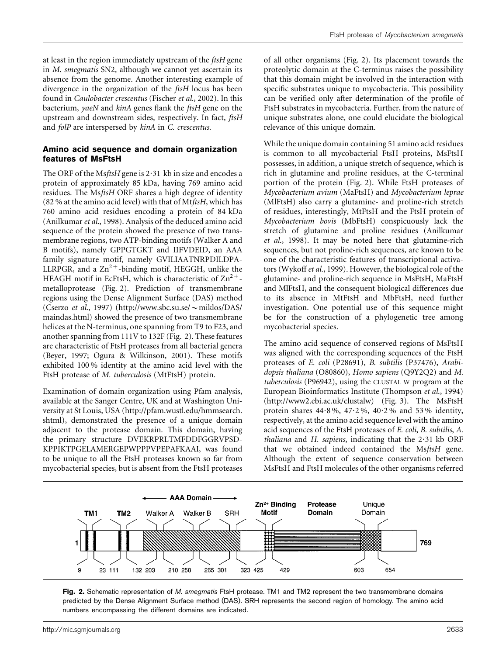at least in the region immediately upstream of the ftsH gene in M. smegmatis SN2, although we cannot yet ascertain its absence from the genome. Another interesting example of divergence in the organization of the ftsH locus has been found in Caulobacter crescentus (Fischer et al., 2002). In this bacterium, yaeN and kinA genes flank the ftsH gene on the upstream and downstream sides, respectively. In fact, ftsH and folP are interspersed by kinA in C. crescentus.

#### Amino acid sequence and domain organization features of MsFtsH

The ORF of the MsftsH gene is 2.31 kb in size and encodes a protein of approximately 85 kDa, having 769 amino acid residues. The MsftsH ORF shares a high degree of identity (82 % at the amino acid level) with that of Mt $ftsH$ , which has 760 amino acid residues encoding a protein of 84 kDa (Anilkumar et al., 1998). Analysis of the deduced amino acid sequence of the protein showed the presence of two transmembrane regions, two ATP-binding motifs (Walker A and B motifs), namely GPPGTGKT and IIFVDEID, an AAA family signature motif, namely GVILIAATNRPDILDPA-LLRPGR, and a  $\text{Zn}^{2+}$ -binding motif, HEGGH, unlike the HEAGH motif in EcFtsH, which is characteristic of  $\text{Zn}^{2+}$ metalloprotease (Fig. 2). Prediction of transmembrane regions using the Dense Alignment Surface (DAS) method (Cserzo et al., 1997) (http://www.sbc.su.se/ $\sim$ miklos/DAS/ maindas.html) showed the presence of two transmembrane helices at the N-terminus, one spanning from T9 to F23, and another spanning from 111V to 132F (Fig. 2). These features are characteristic of FtsH proteases from all bacterial genera (Beyer, 1997; Ogura & Wilkinson, 2001). These motifs exhibited 100 % identity at the amino acid level with the FtsH protease of M. tuberculosis (MtFtsH) protein.

Examination of domain organization using Pfam analysis, available at the Sanger Centre, UK and at Washington University at St Louis, USA (http://pfam.wustl.edu/hmmsearch. shtml), demonstrated the presence of a unique domain adjacent to the protease domain. This domain, having the primary structure DVEKRPRLTMFDDFGGRVPSD-KPPIKTPGELAMERGEPWPPPVPEPAFKAAI, was found to be unique to all the FtsH proteases known so far from mycobacterial species, but is absent from the FtsH proteases of all other organisms (Fig. 2). Its placement towards the proteolytic domain at the C-terminus raises the possibility that this domain might be involved in the interaction with specific substrates unique to mycobacteria. This possibility can be verified only after determination of the profile of FtsH substrates in mycobacteria. Further, from the nature of unique substrates alone, one could elucidate the biological relevance of this unique domain.

While the unique domain containing 51 amino acid residues is common to all mycobacterial FtsH proteins, MsFtsH possesses, in addition, a unique stretch of sequence, which is rich in glutamine and proline residues, at the C-terminal portion of the protein (Fig. 2). While FtsH proteases of Mycobacterium avium (MaFtsH) and Mycobacterium leprae (MlFtsH) also carry a glutamine- and proline-rich stretch of residues, interestingly, MtFtsH and the FtsH protein of Mycobacterium bovis (MbFtsH) conspicuously lack the stretch of glutamine and proline residues (Anilkumar et al., 1998). It may be noted here that glutamine-rich sequences, but not proline-rich sequences, are known to be one of the characteristic features of transcriptional activators (Wykoff et al., 1999). However, the biological role of the glutamine- and proline-rich sequence in MsFtsH, MaFtsH and MlFtsH, and the consequent biological differences due to its absence in MtFtsH and MbFtsH, need further investigation. One potential use of this sequence might be for the construction of a phylogenetic tree among mycobacterial species.

The amino acid sequence of conserved regions of MsFtsH was aligned with the corresponding sequences of the FtsH proteases of E. coli (P28691), B. subtilis (P37476), Arabidopsis thaliana (O80860), Homo sapiens (Q9Y2Q2) and M. tuberculosis (P96942), using the CLUSTAL W program at the European Bioinformatics Institute (Thompson et al., 1994) (http://www2.ebi.ac.uk/clustalw) (Fig. 3). The MsFtsH protein shares  $44.8\%$ ,  $47.2\%$ ,  $40.2\%$  and 53% identity, respectively, at the amino acid sequence level with the amino acid sequences of the FtsH proteases of E. coli, B. subtilis, A. thaliana and H. sapiens, indicating that the  $2.31$  kb ORF that we obtained indeed contained the MsftsH gene. Although the extent of sequence conservation between MsFtsH and FtsH molecules of the other organisms referred



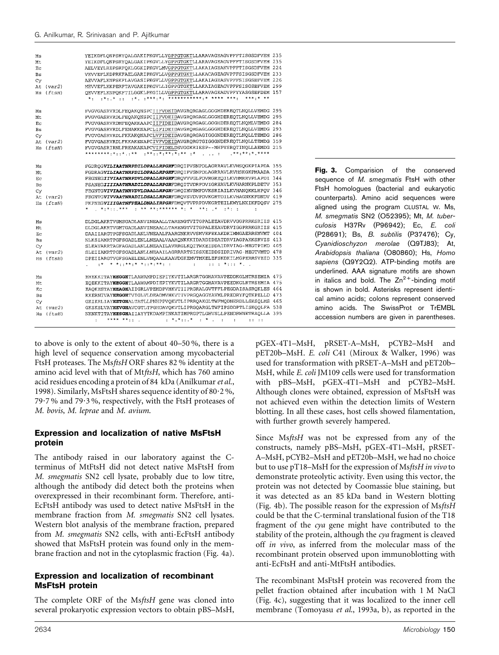| Ms<br>Mt<br>Ec<br>Bs<br>Cγ<br>At<br>Hs | (var2)<br>(ftsH)               | YEIKDFLQNPSRYQALGAKIPKGVLLYGPPGTGKTLLARAVAGEAGVPFFTISGSDFVEM 235<br>YEIKDFLONPSRYOALGAKIPKGVLLYGPPGTGKTLLARAVAGEAGVPFFTISGSDFVEM 235<br>AELVEYLREPSRFOKLGGKIPKGVLMVGPPGTGKTLLAKAIAGEAKVPFFTISGSDFVEM 224<br>VEVVEFLKDPRKFAELGARIPKGVLLVGPPGTGKTLLAKACAGEAGVPFFSISGSDFVEM 233<br>AEVVAFLKNPSKFLAVGASIPKGVLLVGPPGTGKTLLAKAIAGEASVPFFSISGSEFVEM 226<br>MEVVEFLKKPERFTAVGAKIPKGVLLIGPPGTGKTLLAKAIAGEAGVPFFSISGSEFVEM 299<br>OEVVEFLKNPOKFTILGGKLPKGILLVGPPGTGKTLLARAVAGEADVPFYYASGSEFDEM 157<br>.* .***.*. ************.* **** ***.<br>***.* **<br>$*$ .<br>$\mathbf{r}^*$ , $\mathbf{r}^*$ , $\mathbf{r}$ , |  |
|----------------------------------------|--------------------------------|----------------------------------------------------------------------------------------------------------------------------------------------------------------------------------------------------------------------------------------------------------------------------------------------------------------------------------------------------------------------------------------------------------------------------------------------------------------------------------------------------------------------------------------------------------------------------------------------------------|--|
| Ms                                     |                                | FVGVGASRVRDLFEQAKQNSPCIIFVDEIDAVGRQRGAGLGGGHDEREQTLNQLLVEMDG 295                                                                                                                                                                                                                                                                                                                                                                                                                                                                                                                                         |  |
| Mt                                     |                                | FVGVGASRVRDLFEOAKONSPCIIFVDEIDAVGRORGAGLGGGHDEREOTLNOLLVEMDG 295                                                                                                                                                                                                                                                                                                                                                                                                                                                                                                                                         |  |
| Eс                                     |                                | FVGVGASRVRDMFEQAKKAAPCIIFIDEIDAVGRQRGAGLGGGHDEREQTLNQMLVEMDG 284                                                                                                                                                                                                                                                                                                                                                                                                                                                                                                                                         |  |
| Bs                                     |                                | FVGVGASRVRDLFENAKKNAPCLIFIDEIDAVGRORGAGLGGGHDEREOTLNOLLVEMDG 293                                                                                                                                                                                                                                                                                                                                                                                                                                                                                                                                         |  |
| Cу                                     |                                | FVGVGASRVRDLFKKAKQNAPCLVFIDEIDAVGRQRGAGIGGGNDEREQTLNQLLTEMDG 286                                                                                                                                                                                                                                                                                                                                                                                                                                                                                                                                         |  |
| At                                     | $\langle \text{var2} \rangle$  | FVGVGASRVRDLFKKAKENAPCIVFVDEIDAVGRORGTGIGGGNDEREOTLNOLLTEMDG 359                                                                                                                                                                                                                                                                                                                                                                                                                                                                                                                                         |  |
| Hs                                     | (ftsH)                         | FVGVGASRIRNLFREAKANAPCVIFIDELDSVGGKRIESP--MHPYSROTINOLLAEMDG 215                                                                                                                                                                                                                                                                                                                                                                                                                                                                                                                                         |  |
|                                        |                                | <b>************</b>                                                                                                                                                                                                                                                                                                                                                                                                                                                                                                                                                                                      |  |
| Ms                                     |                                | FGDROGVILIAATNRPDILDPALLRPGRFDROIPVSNPDLAGRRAVLKVHSQGKPIAPDA 355                                                                                                                                                                                                                                                                                                                                                                                                                                                                                                                                         |  |
| Mt                                     |                                | FGDRAGVILIAATNRPDILDPALLRPGRFDRQIPVSNPDLAGRRAVLRVHSKGKPMAADA 355                                                                                                                                                                                                                                                                                                                                                                                                                                                                                                                                         |  |
| Еc                                     |                                | FEGNEGIIVIAATNRPDVLDPALLRPGRFDROVVVGLPDVRGREOILKVHMRRVPLAPDI 344                                                                                                                                                                                                                                                                                                                                                                                                                                                                                                                                         |  |
| Bs                                     |                                | FSANEGIIIIAATNRADILDPALLRPGRFDROITVDRPDVIGREAVLKVHARNKPLDETV 353                                                                                                                                                                                                                                                                                                                                                                                                                                                                                                                                         |  |
| Cy                                     |                                | FEGNTGVIVIAATNRVDVLDAALLRPGRFDROIMVSMPDVKSRIAILKVHANOKKLHPOV 346                                                                                                                                                                                                                                                                                                                                                                                                                                                                                                                                         |  |
| At                                     | (var2)                         | FEGNTGVIVVAATNRADILDSALLRPGRFDROVSVDVPDVKGRTDILKVHAGNKKFDNDV 419                                                                                                                                                                                                                                                                                                                                                                                                                                                                                                                                         |  |
| Hs.                                    | (ftsH)                         | FKPNEGVIIIGATNFPEALDNALIRPGRFDMOVTVPRPDVKGRTEILKWYLNKIKFDOSV 275                                                                                                                                                                                                                                                                                                                                                                                                                                                                                                                                         |  |
|                                        |                                | $\cdots$ we experience and the experiment of $\cdots$<br>$\star$ , $\star$ , $\star$ , $\star$ , $\star$ , $\star$<br>÷                                                                                                                                                                                                                                                                                                                                                                                                                                                                                  |  |
| Ms                                     |                                | DLDGLAKRTVGMSGADLANVINEAALLTARENGTVITGPALEEAVDRVVGGPRRKSRIIS 415                                                                                                                                                                                                                                                                                                                                                                                                                                                                                                                                         |  |
| Mt                                     |                                | DLDGLAKRTVGMTGADLANVINEAALLTARENGTVITGPALEEAVDRVIGGPRRKGRIIS 415                                                                                                                                                                                                                                                                                                                                                                                                                                                                                                                                         |  |
| Ec                                     |                                | DAAIIARGTPGFSGADLANLVNEAALFAARGNKRVVSMVEFEKAKDKIMMGAERRSMVMT 404                                                                                                                                                                                                                                                                                                                                                                                                                                                                                                                                         |  |
| <b>Bs</b>                              |                                | NLKSIAMRTPGFSGADLENLLNEAALVAARONKKKIDARDIDEATDRVIAGPAKKSRVIS 413                                                                                                                                                                                                                                                                                                                                                                                                                                                                                                                                         |  |
| Cy                                     |                                | SLEAVARRTAGFAGADLANLLNEAAILAVRRGLKOITWKEIDDAIDRVIAG-MEGTPIMD 405                                                                                                                                                                                                                                                                                                                                                                                                                                                                                                                                         |  |
| Αt                                     | (var2)                         | SLEIIAMRTPGFSGADLANLLNEAAILAGRRARTSISSKEIDDSIDRIVAG-MEGTVMTD 478                                                                                                                                                                                                                                                                                                                                                                                                                                                                                                                                         |  |
| Hs                                     | (ftsH)                         | DPEIIARGTVGFSGAELENLVNQAALKAAVDGKEMVTMKELEFSKDKILMGPERRSVEID 335                                                                                                                                                                                                                                                                                                                                                                                                                                                                                                                                         |  |
|                                        |                                | , w wilkele wilkeler i<br>$\mathbf{r}$<br>ara da Marang Music<br>÷*                                                                                                                                                                                                                                                                                                                                                                                                                                                                                                                                      |  |
|                                        |                                | EHEKKITAYHEGGHTLAAWAMPDIEPIYKVTILARGRTGGHAVAVPEDDKGLMTRSEMIA 475                                                                                                                                                                                                                                                                                                                                                                                                                                                                                                                                         |  |
| Ms<br>Mt                               |                                | EOEKKITAYHEGGHTLAAWAMPDIEPIYKVTILARGRTGGHAVAVPEEDKGLRTRSEMIA 475                                                                                                                                                                                                                                                                                                                                                                                                                                                                                                                                         |  |
| Ec                                     |                                | EAQKESTAYHEAGHAIIGRLVPEHDPVHKVTIIPRGRALGVTFFLPEGDAISASROKLES 464                                                                                                                                                                                                                                                                                                                                                                                                                                                                                                                                         |  |
| Bs                                     |                                | KKERNIVAYHEGGHTVIGLVLDEADMVHKVTIVPRGQAGGYAVMLPREDRYFQTKPELLD 473                                                                                                                                                                                                                                                                                                                                                                                                                                                                                                                                         |  |
|                                        |                                | GKIKRLIAYHETGHALTATLLPNHPPVOKVTLIPRROAKGLTWFMODNERDLLSKSOLMS 465                                                                                                                                                                                                                                                                                                                                                                                                                                                                                                                                         |  |
| Cy<br>At                               | $\langle \text{var} 2 \rangle$ | GKSKSLVAYHEVGHAVCGTLTPGHDAVOKVTLIPRGOARGLTWFIPSDDPTLISKOOLFA 538                                                                                                                                                                                                                                                                                                                                                                                                                                                                                                                                         |  |
|                                        | Hs (ftsH)                      | NKNKTITAYHESGHAIIAYYTKDAMPINKATIMPRGPTLGHVSLLPENDRWNETRAOLLA 395                                                                                                                                                                                                                                                                                                                                                                                                                                                                                                                                         |  |
|                                        |                                | **** **::<br>$\mathbf{r} = \mathbf{r}^T \mathbf{r} + \mathbf{r}^T \mathbf{r} + \mathbf{r}^T \mathbf{r} + \mathbf{r}^T \mathbf{r} + \mathbf{r}^T \mathbf{r} + \mathbf{r}^T \mathbf{r} + \mathbf{r}^T \mathbf{r} + \mathbf{r}^T \mathbf{r} + \mathbf{r}^T \mathbf{r} + \mathbf{r}^T \mathbf{r} + \mathbf{r}^T \mathbf{r} + \mathbf{r}^T \mathbf{r} + \mathbf{r}^T \mathbf{r} + \mathbf{r}^T \mathbf{r} + \mathbf$<br>$\sim$ 100<br>٠<br>$\ddot{\phantom{a}}$<br>$11 - 11$                                                                                                                                  |  |

to above is only to the extent of about 40–50 %, there is a high level of sequence conservation among mycobacterial FtsH proteases. The MsftsH ORF shares 82 % identity at the amino acid level with that of MtftsH, which has 760 amino acid residues encoding a protein of 84 kDa (Anilkumar et al., 1998). Similarly, MsFtsH shares sequence identity of 80.2%, 79.7% and 79.3%, respectively, with the FtsH proteases of M. bovis, M. leprae and M. avium.

### Expression and localization of native MsFtsH protein

The antibody raised in our laboratory against the Cterminus of MtFtsH did not detect native MsFtsH from M. smegmatis SN2 cell lysate, probably due to low titre, although the antibody did detect both the proteins when overexpressed in their recombinant form. Therefore, anti-EcFtsH antibody was used to detect native MsFtsH in the membrane fraction from *M. smegmatis* SN2 cell lysates. Western blot analysis of the membrane fraction, prepared from M. smegmatis SN2 cells, with anti-EcFtsH antibody showed that MsFtsH protein was found only in the membrane fraction and not in the cytoplasmic fraction (Fig. 4a).

#### Expression and localization of recombinant MsFtsH protein

The complete ORF of the MsftsH gene was cloned into several prokaryotic expression vectors to obtain pBS–MsH,

Fig. 3. Comparision of the conserved sequence of M. smegmatis FtsH with other FtsH homologues (bacterial and eukaryotic counterparts). Amino acid sequences were aligned using the program CLUSTAL W. Ms, M. smegmatis SN2 (O52395); Mt, M. tuberculosis H37Rv (P96942); Ec, E. coli (P28691); Bs, B. subtilis (P37476); Cy, Cyanidioschyzon merolae (Q9TJ83); At, Arabidopsis thaliana (O80860); Hs, Homo sapiens (Q9Y2Q2). ATP-binding motifs are underlined. AAA signature motifs are shown in italics and bold. The  $Zn^{2+}$ -binding motif is shown in bold. Asterisks represent identical amino acids; colons represent conserved amino acids. The SwissProt or TrEMBL accession numbers are given in parentheses.

pGEX-4T1–MsH, pRSET-A–MsH, pCYB2–MsH and pET20b–MsH. E. coli C41 (Miroux & Walker, 1996) was used for transformation with pRSET-A–MsH and pET20b– MsH, while E. coli JM109 cells were used for transformation with pBS–MsH, pGEX-4T1–MsH and pCYB2–MsH. Although clones were obtained, expression of MsFtsH was not achieved even within the detection limits of Western blotting. In all these cases, host cells showed filamentation, with further growth severely hampered.

Since MsftsH was not be expressed from any of the constructs, namely pBS–MsH, pGEX-4T1–MsH, pRSET-A–MsH, pCYB2–MsH and pET20b–MsH, we had no choice but to use pT18-MsH for the expression of MsftsH in vivo to demonstrate proteolytic activity. Even using this vector, the protein was not detected by Coomassie blue staining, but it was detected as an 85 kDa band in Western blotting (Fig. 4b). The possible reason for the expression of MsftsH could be that the C-terminal translational fusion of the T18 fragment of the cya gene might have contributed to the stability of the protein, although the cya fragment is cleaved off in vivo, as inferred from the molecular mass of the recombinant protein observed upon immunoblotting with anti-EcFtsH and anti-MtFtsH antibodies.

The recombinant MsFtsH protein was recovered from the pellet fraction obtained after incubation with 1 M NaCl (Fig. 4c), suggesting that it was localized to the inner cell membrane (Tomoyasu et al., 1993a, b), as reported in the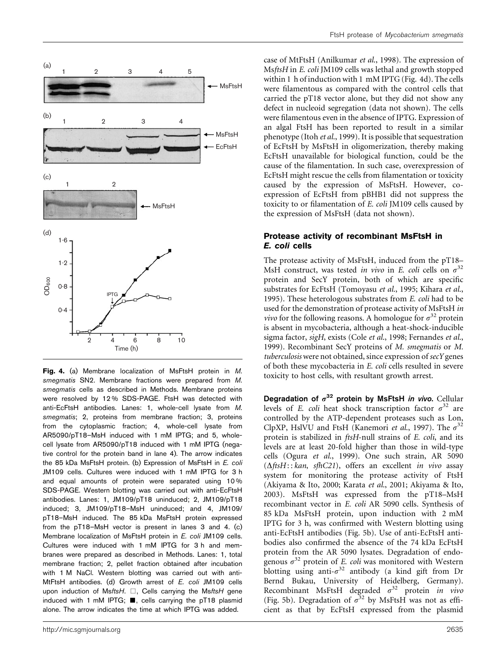

Fig. 4. (a) Membrane localization of MsFtsH protein in M. smegmatis SN2. Membrane fractions were prepared from M. smegmatis cells as described in Methods. Membrane proteins were resolved by 12 % SDS-PAGE. FtsH was detected with anti-EcFtsH antibodies. Lanes: 1, whole-cell lysate from M. smegmatis; 2, proteins from membrane fraction; 3, proteins from the cytoplasmic fraction; 4, whole-cell lysate from AR5090/pT18–MsH induced with 1 mM IPTG; and 5, wholecell lysate from AR5090/pT18 induced with 1 mM IPTG (negative control for the protein band in lane 4). The arrow indicates the 85 kDa MsFtsH protein. (b) Expression of MsFtsH in E. coli JM109 cells. Cultures were induced with 1 mM IPTG for 3 h and equal amounts of protein were separated using 10 % SDS-PAGE. Western blotting was carried out with anti-EcFtsH antibodies. Lanes: 1, JM109/pT18 uninduced; 2, JM109/pT18 induced; 3, JM109/pT18–MsH uninduced; and 4, JM109/ pT18–MsH induced. The 85 kDa MsFtsH protein expressed from the pT18–MsH vector is present in lanes 3 and 4. (c) Membrane localization of MsFtsH protein in E. coli JM109 cells. Cultures were induced with 1 mM IPTG for 3 h and membranes were prepared as described in Methods. Lanes: 1, total membrane fraction; 2, pellet fraction obtained after incubation with 1 M NaCl. Western blotting was carried out with anti-MtFtsH antibodies. (d) Growth arrest of E. coli JM109 cells upon induction of MsftsH.  $\Box$ , Cells carrying the MsftsH gene induced with 1 mM IPTG;  $\blacksquare$ , cells carrying the pT18 plasmid alone. The arrow indicates the time at which IPTG was added.

case of MtFtsH (Anilkumar et al., 1998). The expression of MsftsH in E. coli JM109 cells was lethal and growth stopped within 1 h of induction with 1 mM IPTG (Fig. 4d). The cells were filamentous as compared with the control cells that carried the pT18 vector alone, but they did not show any defect in nucleoid segregation (data not shown). The cells were filamentous even in the absence of IPTG. Expression of an algal FtsH has been reported to result in a similar phenotype (Itoh et al., 1999). It is possible that sequestration of EcFtsH by MsFtsH in oligomerization, thereby making EcFtsH unavailable for biological function, could be the cause of the filamentation. In such case, overexpression of EcFtsH might rescue the cells from filamentation or toxicity caused by the expression of MsFtsH. However, coexpression of EcFtsH from pBHB1 did not suppress the toxicity to or filamentation of E. coli JM109 cells caused by the expression of MsFtsH (data not shown).

#### Protease activity of recombinant MsFtsH in E. coli cells

The protease activity of MsFtsH, induced from the pT18– MsH construct, was tested in vivo in E. coli cells on  $\sigma^{32}$ protein and SecY protein, both of which are specific substrates for EcFtsH (Tomoyasu et al., 1995; Kihara et al., 1995). These heterologous substrates from E. coli had to be used for the demonstration of protease activity of MsFtsH in *vivo* for the following reasons. A homologue for  $\sigma^{32}$  protein is absent in mycobacteria, although a heat-shock-inducible sigma factor, sigH, exists (Cole et al., 1998; Fernandes et al., 1999). Recombinant SecY proteins of M. smegmatis or M. tuberculosis were not obtained, since expression of secY genes of both these mycobacteria in E. coli cells resulted in severe toxicity to host cells, with resultant growth arrest.

Degradation of  $\sigma^{32}$  protein by MsFtsH in vivo. Cellular levels of E. coli heat shock transcription factor  $\sigma^{32}$  are controlled by the ATP-dependent proteases such as Lon, ClpXP, HslVU and FtsH (Kanemori et al., 1997). The  $\sigma^{32}$ protein is stabilized in ftsH-null strains of E. coli, and its levels are at least 20-fold higher than those in wild-type cells (Ogura et al., 1999). One such strain, AR 5090  $(\Delta f t s H$ : : kan, sfhC21), offers an excellent in vivo assay system for monitoring the protease activity of FtsH (Akiyama & Ito, 2000; Karata et al., 2001; Akiyama & Ito, 2003). MsFtsH was expressed from the pT18–MsH recombinant vector in E. coli AR 5090 cells. Synthesis of 85 kDa MsFtsH protein, upon induction with 2 mM IPTG for 3 h, was confirmed with Western blotting using anti-EcFtsH antibodies (Fig. 5b). Use of anti-EcFtsH antibodies also confirmed the absence of the 74 kDa EcFtsH protein from the AR 5090 lysates. Degradation of endogenous  $\sigma^{32}$  protein of E. coli was monitored with Western blotting using anti- $\sigma^{32}$  antibody (a kind gift from Dr Bernd Bukau, University of Heidelberg, Germany). Recombinant MsFtsH degraded  $\sigma^{32}$  protein in vivo (Fig. 5b). Degradation of  $\sigma^{32}$  by MsFtsH was not as efficient as that by EcFtsH expressed from the plasmid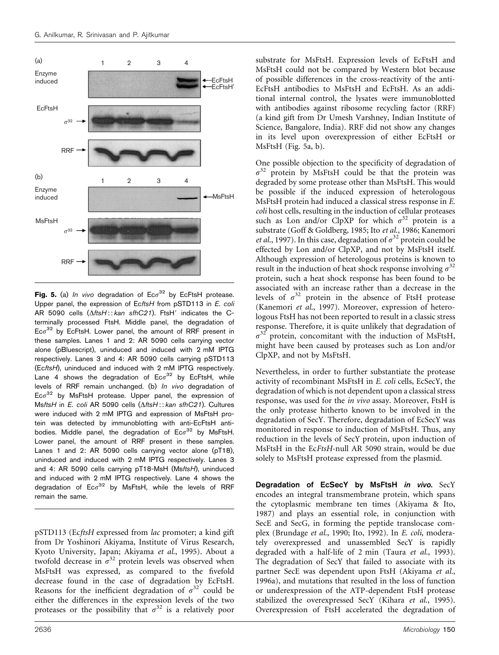

Fig. 5. (a) In vivo degradation of  $Ec\sigma^{32}$  by EcFtsH protease. Upper panel, the expression of EcttsH from pSTD113 in E. coli AR 5090 cells  $(\Delta$ ftsH:: kan sfhC21). FtsH' indicates the Cterminally processed FtsH. Middle panel, the degradation of  $Ec\sigma^{32}$  by EcFtsH. Lower panel, the amount of RRF present in these samples. Lanes 1 and 2: AR 5090 cells carrying vector alone (pBluescript), uninduced and induced with 2 mM IPTG respectively. Lanes 3 and 4: AR 5090 cells carrying pSTD113 (EcftsH), uninduced and induced with 2 mM IPTG respectively. Lane 4 shows the degradation of  $Ec\sigma^{32}$  by EcFtsH, while levels of RRF remain unchanged. (b) In vivo degradation of  $Ec\sigma^{32}$  by MsFtsH protease. Upper panel, the expression of MsftsH in E. coli AR 5090 cells (AftsH:: kan sfhC21). Cultures were induced with 2 mM IPTG and expression of MsFtsH protein was detected by immunoblotting with anti-EcFtsH antibodies. Middle panel, the degradation of  $Ec\sigma^{32}$  by MsFtsH. Lower panel, the amount of RRF present in these samples. Lanes 1 and 2: AR 5090 cells carrying vector alone (pT18), uninduced and induced with 2 mM IPTG respectively. Lanes 3 and 4: AR 5090 cells carrying pT18-MsH (MsftsH), uninduced and induced with 2 mM IPTG respectively. Lane 4 shows the degradation of  $Ec\sigma^{32}$  by MsFtsH, while the levels of RRF remain the same.

pSTD113 (EcftsH expressed from lac promoter; a kind gift from Dr Yoshinori Akiyama, Institute of Virus Research, Kyoto University, Japan; Akiyama et al., 1995). About a twofold decrease in  $\sigma^{32}$  protein levels was observed when MsFtsH was expressed, as compared to the fivefold decrease found in the case of degradation by EcFtsH. Reasons for the inefficient degradation of  $\sigma^{32}$  could be either the differences in the expression levels of the two proteases or the possibility that  $\sigma^{32}$  is a relatively poor

substrate for MsFtsH. Expression levels of EcFtsH and MsFtsH could not be compared by Western blot because of possible differences in the cross-reactivity of the anti-EcFtsH antibodies to MsFtsH and EcFtsH. As an additional internal control, the lysates were immunoblotted with antibodies against ribosome recycling factor (RRF) (a kind gift from Dr Umesh Varshney, Indian Institute of Science, Bangalore, India). RRF did not show any changes in its level upon overexpression of either EcFtsH or MsFtsH (Fig. 5a, b).

One possible objection to the specificity of degradation of  $\sigma^{32}$  protein by MsFtsH could be that the protein was degraded by some protease other than MsFtsH. This would be possible if the induced expression of heterologous MsFtsH protein had induced a classical stress response in E. coli host cells, resulting in the induction of cellular proteases such as Lon and/or ClpXP for which  $\sigma^{32}$  protein is a substrate (Goff & Goldberg, 1985; Ito et al., 1986; Kanemori et al., 1997). In this case, degradation of  $\sigma^{32}$  protein could be effected by Lon and/or ClpXP, and not by MsFtsH itself. Although expression of heterologous proteins is known to result in the induction of heat shock response involving  $\sigma^{32}$ protein, such a heat shock response has been found to be associated with an increase rather than a decrease in the levels of  $\sigma^{32}$  protein in the absence of FtsH protease (Kanemori et al., 1997). Moreover, expression of heterologous FtsH has not been reported to result in a classic stress response. Therefore, it is quite unlikely that degradation of  $\sigma^{32}$  protein, concomitant with the induction of MsFtsH, protein, concomitant with the induction of MsFtsH, might have been caused by proteases such as Lon and/or ClpXP, and not by MsFtsH.

Nevertheless, in order to further substantiate the protease activity of recombinant MsFtsH in E. coli cells, EcSecY, the degradation of which is not dependent upon a classical stress response, was used for the in vivo assay. Moreover, FtsH is the only protease hitherto known to be involved in the degradation of SecY. Therefore, degradation of EcSecY was monitored in response to induction of MsFtsH. Thus, any reduction in the levels of SecY protein, upon induction of MsFtsH in the EcFtsH-null AR 5090 strain, would be due solely to MsFtsH protease expressed from the plasmid.

Degradation of EcSecY by MsFtsH in vivo. SecY encodes an integral transmembrane protein, which spans the cytoplasmic membrane ten times (Akiyama & Ito, 1987) and plays an essential role, in conjunction with SecE and SecG, in forming the peptide translocase complex (Brundage et al., 1990; Ito, 1992). In E. coli, moderately overexpressed and unassembled SecY is rapidly degraded with a half-life of 2 min (Taura et al., 1993). The degradation of SecY that failed to associate with its partner SecE was dependent upon FtsH (Akiyama et al., 1996a), and mutations that resulted in the loss of function or underexpression of the ATP-dependent FtsH protease stabilized the overexpressed SecY (Kihara et al., 1995). Overexpression of FtsH accelerated the degradation of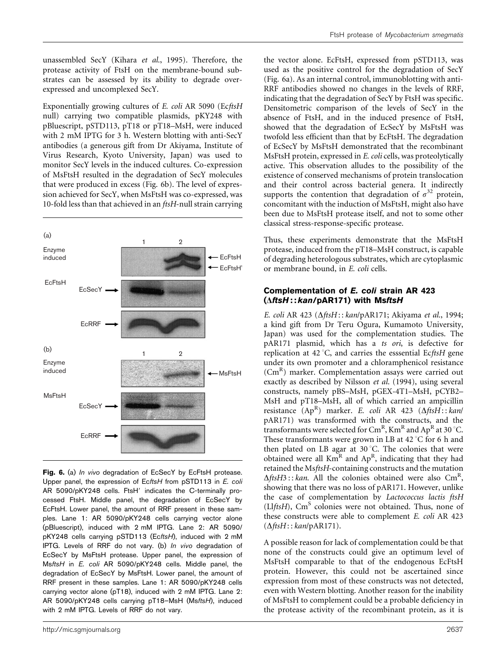unassembled SecY (Kihara et al., 1995). Therefore, the protease activity of FtsH on the membrane-bound substrates can be assessed by its ability to degrade overexpressed and uncomplexed SecY.

Exponentially growing cultures of E. coli AR 5090 (EcftsH null) carrying two compatible plasmids, pKY248 with pBluescript, pSTD113, pT18 or pT18–MsH, were induced with 2 mM IPTG for 3 h. Western blotting with anti-SecY antibodies (a generous gift from Dr Akiyama, Institute of Virus Research, Kyoto University, Japan) was used to monitor SecY levels in the induced cultures. Co-expression of MsFtsH resulted in the degradation of SecY molecules that were produced in excess (Fig. 6b). The level of expression achieved for SecY, when MsFtsH was co-expressed, was 10-fold less than that achieved in an  $ftsH$ -null strain carrying



Fig. 6. (a) In vivo degradation of EcSecY by EcFtsH protease. Upper panel, the expression of EcftsH from pSTD113 in E. coli AR 5090/pKY248 cells. FtsH' indicates the C-terminally processed FtsH. Middle panel, the degradation of EcSecY by EcFtsH. Lower panel, the amount of RRF present in these samples. Lane 1: AR 5090/pKY248 cells carrying vector alone (pBluescript), induced with 2 mM IPTG. Lane 2: AR 5090/ pKY248 cells carrying pSTD113 (EcftsH), induced with 2 mM IPTG. Levels of RRF do not vary. (b) In vivo degradation of EcSecY by MsFtsH protease. Upper panel, the expression of MsftsH in E. coli AR 5090/pKY248 cells. Middle panel, the degradation of EcSecY by MsFtsH. Lower panel, the amount of RRF present in these samples. Lane 1: AR 5090/pKY248 cells carrying vector alone (pT18), induced with 2 mM IPTG. Lane 2: AR 5090/pKY248 cells carrying pT18-MsH (MsftsH), induced with 2 mM IPTG. Levels of RRF do not vary.

the vector alone. EcFtsH, expressed from pSTD113, was used as the positive control for the degradation of SecY (Fig. 6a). As an internal control, immunoblotting with anti-RRF antibodies showed no changes in the levels of RRF, indicating that the degradation of SecY by FtsH was specific. Densitometric comparison of the levels of SecY in the absence of FtsH, and in the induced presence of FtsH, showed that the degradation of EcSecY by MsFtsH was twofold less efficient than that by EcFtsH. The degradation of EcSecY by MsFtsH demonstrated that the recombinant MsFtsH protein, expressed in E. coli cells, was proteolytically active. This observation alludes to the possibility of the existence of conserved mechanisms of protein translocation and their control across bacterial genera. It indirectly supports the contention that degradation of  $\sigma^{32}$  protein, concomitant with the induction of MsFtsH, might also have been due to MsFtsH protease itself, and not to some other classical stress-response-specific protease.

Thus, these experiments demonstrate that the MsFtsH protease, induced from the pT18–MsH construct, is capable of degrading heterologous substrates, which are cytoplasmic or membrane bound, in E. coli cells.

#### Complementation of E. coli strain AR 423 ( $\Delta$ ftsH::kan/pAR171) with MsftsH

E. coli AR 423 ( $\Delta$ ftsH:: kan/pAR171; Akiyama et al., 1994; a kind gift from Dr Teru Ogura, Kumamoto University, Japan) was used for the complementation studies. The pAR171 plasmid, which has a ts ori, is defective for replication at 42 °C, and carries the esssential EcftsH gene under its own promoter and a chloramphenicol resistance (CmR) marker. Complementation assays were carried out exactly as described by Nilsson et al. (1994), using several constructs, namely pBS–MsH, pGEX-4T1–MsH, pCYB2– MsH and pT18–MsH, all of which carried an ampicillin resistance  $(Ap^R)$  marker. E. coli AR 423  $(\Delta ff s H : k a n /$ pAR171) was transformed with the constructs, and the transformants were selected for  $\mathrm{Cm}^\mathrm{R}$ ,  $\mathrm{Km}^\mathrm{R}$  and  $\mathrm{Ap}^\mathrm{R}$  at 30  $^\circ\mathrm{C}.$ These transformants were grown in LB at  $42^{\circ}$ C for 6 h and then plated on LB agar at  $30^{\circ}$ C. The colonies that were obtained were all KmR and ApR, indicating that they had retained the MsftsH-containing constructs and the mutation  $\Delta f$ tsH3:: kan. All the colonies obtained were also Cm<sup>R</sup>, showing that there was no loss of pAR171. However, unlike the case of complementation by Lactococcus lactis ftsH (LlftsH),  $\text{Cm}^S$  colonies were not obtained. Thus, none of these constructs were able to complement E. coli AR 423  $(\Delta \text{fts}H$ : : kan/pAR171).

A possible reason for lack of complementation could be that none of the constructs could give an optimum level of MsFtsH comparable to that of the endogenous EcFtsH protein. However, this could not be ascertained since expression from most of these constructs was not detected, even with Western blotting. Another reason for the inability of MsFtsH to complement could be a probable deficiency in the protease activity of the recombinant protein, as it is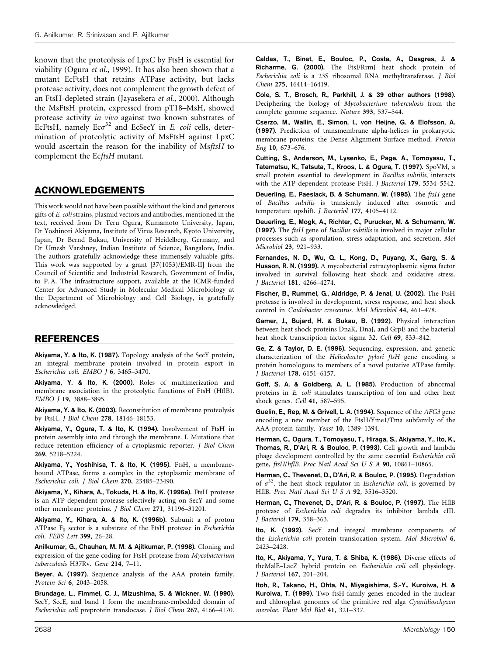known that the proteolysis of LpxC by FtsH is essential for viability (Ogura et al., 1999). It has also been shown that a mutant EcFtsH that retains ATPase activity, but lacks protease activity, does not complement the growth defect of an FtsH-depleted strain (Jayasekera et al., 2000). Although the MsFtsH protein, expressed from pT18–MsH, showed protease activity in vivo against two known substrates of EcFtsH, namely  $Ec\sigma^{32}$  and EcSecY in E. coli cells, determination of proteolytic activity of MsFtsH against LpxC would ascertain the reason for the inability of MsftsH to complement the EcftsH mutant.

# ACKNOWLEDGEMENTS

This work would not have been possible without the kind and generous gifts of E. coli strains, plasmid vectors and antibodies, mentioned in the text, received from Dr Teru Ogura, Kumamoto University, Japan, Dr Yoshinori Akiyama, Institute of Virus Research, Kyoto University, Japan, Dr Bernd Bukau, University of Heidelberg, Germany, and Dr Umesh Varshney, Indian Institute of Science, Bangalore, India. The authors gratefully acknowledge these immensely valuable gifts. This work was supported by a grant [37(1053)/EMR-II] from the Council of Scientific and Industrial Research, Government of India, to P. A. The infrastructure support, available at the ICMR-funded Center for Advanced Study in Molecular Medical Microbiology at the Department of Microbiology and Cell Biology, is gratefully acknowledged.

# REFERENCES

Akiyama, Y. & Ito, K. (1987). Topology analysis of the SecY protein, an integral membrane protein involved in protein export in Escherichia coli. EMBO J 6, 3465–3470.

Akiyama, Y. & Ito, K. (2000). Roles of multimerization and membrane association in the proteolytic functions of FtsH (HflB). EMBO J 19, 3888–3895.

Akiyama, Y. & Ito, K. (2003). Reconstitution of membrane proteolysis by FtsH. J Biol Chem 278, 18146–18153.

Akiyama, Y., Ogura, T. & Ito, K. (1994). Involvement of FtsH in protein assembly into and through the membrane. I. Mutations that reduce retention efficiency of a cytoplasmic reporter. J Biol Chem 269, 5218–5224.

Akiyama, Y., Yoshihisa, T. & Ito, K. (1995). FtsH, a membranebound ATPase, forms a complex in the cytoplasmic membrane of Escherichia coli. J Biol Chem 270, 23485–23490.

Akiyama, Y., Kihara, A., Tokuda, H. & Ito, K. (1996a). FtsH protease is an ATP-dependent protease selectively acting on SecY and some other membrane proteins. J Biol Chem 271, 31196–31201.

Akiyama, Y., Kihara, A. & Ito, K. (1996b). Subunit a of proton ATPase  $F_0$  sector is a substrate of the FtsH protease in Escherichia coli. FEBS Lett 399, 26–28.

Anilkumar, G., Chauhan, M. M. & Ajitkumar, P. (1998). Cloning and expression of the gene coding for FtsH protease from Mycobacterium tuberculosis H37Rv. Gene 214, 7–11.

Beyer, A. (1997). Sequence analysis of the AAA protein family. Protein Sci 6, 2043–2058.

Brundage, L., Fimmel, C. J., Mizushima, S. & Wickner, W. (1990). SecY, SecE, and band 1 form the membrane-embedded domain of Escherichia coli preprotein translocase. J Biol Chem 267, 4166–4170.

Caldas, T., Binet, E., Bouloc, P., Costa, A., Desgres, J. & Richarme, G. (2000). The FtsJ/RrmJ heat shock protein of Escherichia coli is a 23S ribosomal RNA methyltransferase. J Biol Chem 275, 16414–16419.

Cole, S. T., Brosch, R., Parkhill, J. & 39 other authors (1998). Deciphering the biology of Mycobacterium tuberculosis from the complete genome sequence. Nature 393, 537–544.

Cserzo, M., Wallin, E., Simon, I., von Heijne, G. & Elofsson, A. (1997). Prediction of transmembrane alpha-helices in prokaryotic membrane proteins: the Dense Alignment Surface method. Protein Eng 10, 673–676.

Cutting, S., Anderson, M., Lysenko, E., Page, A., Tomoyasu, T., Tatematsu, K., Tatsuta, T., Kroos, L. & Ogura, T. (1997). SpoVM, a small protein essential to development in Bacillus subtilis, interacts with the ATP-dependent protease FtsH. J Bacteriol 179, 5534–5542.

Deuerling, E., Paeslack, B. & Schumann, W. (1995). The ftsH gene of Bacillus subtilis is transiently induced after osmotic and temperature upshift. J Bacteriol 177, 4105–4112.

Deuerling, E., Mogk, A., Richter, C., Purucker, M. & Schumann, W. (1997). The ftsH gene of Bacillus subtilis is involved in major cellular processes such as sporulation, stress adaptation, and secretion. Mol Microbiol 23, 921–933.

Fernandes, N. D., Wu, Q. L., Kong, D., Puyang, X., Garg, S. & Husson, R. N. (1999). A mycobacterial extracytoplasmic sigma factor involved in survival following heat shock and oxidative stress. J Bacteriol 181, 4266–4274.

Fischer, B., Rummel, G., Aldridge, P. & Jenal, U. (2002). The FtsH protease is involved in development, stress response, and heat shock control in Caulobacter crescentus. Mol Microbiol 44, 461–478.

Gamer, J., Bujard, H. & Bukau, B. (1992). Physical interaction between heat shock proteins DnaK, DnaJ, and GrpE and the bacterial heat shock transcription factor sigma 32. Cell 69, 833–842.

Ge, Z. & Taylor, D. E. (1996). Sequencing, expression, and genetic characterization of the Helicobacter pylori ftsH gene encoding a protein homologous to members of a novel putative ATPase family. J Bacteriol 178, 6151–6157.

Goff, S. A. & Goldberg, A. L. (1985). Production of abnormal proteins in E. coli stimulates transcription of lon and other heat shock genes. Cell 41, 587–595.

Guelin, E., Rep, M. & Grivell, L. A. (1994). Sequence of the AFG3 gene encoding a new member of the FtsH/Yme1/Tma subfamily of the AAA-protein family. Yeast 10, 1389–1394.

Herman, C., Ogura, T., Tomoyasu, T., Hiraga, S., Akiyama, Y., Ito, K., Thomas, R., D'Ari, R. & Bouloc, P. (1993). Cell growth and lambda phage development controlled by the same essential Escherichia coli gene,  $ftsH/hf$ lB. Proc Natl Acad Sci U S A  $90$ , 10861-10865.

Herman, C., Thevenet, D., D'Ari, R. & Bouloc, P. (1995). Degradation of  $\sigma^{32}$ , the heat shock regulator in *Escherichia coli*, is governed by HflB. Proc Natl Acad Sci U S A 92, 3516–3520.

Herman, C., Thevenet, D., D'Ari, R. & Bouloc, P. (1997). The HflB protease of Escherichia coli degrades its inhibitor lambda cIII. J Bacteriol 179, 358–363.

Ito, K. (1992). SecY and integral membrane components of the Escherichia coli protein translocation system. Mol Microbiol 6, 2423–2428.

Ito, K., Akiyama, Y., Yura, T. & Shiba, K. (1986). Diverse effects of theMalE–LacZ hybrid protein on Escherichia coli cell physiology. J Bacteriol 167, 201–204.

Itoh, R., Takano, H., Ohta, N., Miyagishima, S.-Y., Kuroiwa, H. & Kuroiwa, T. (1999). Two ftsH-family genes encoded in the nuclear and chloroplast genomes of the primitive red alga Cyanidioschyzon merolae. Plant Mol Biol 41, 321–337.